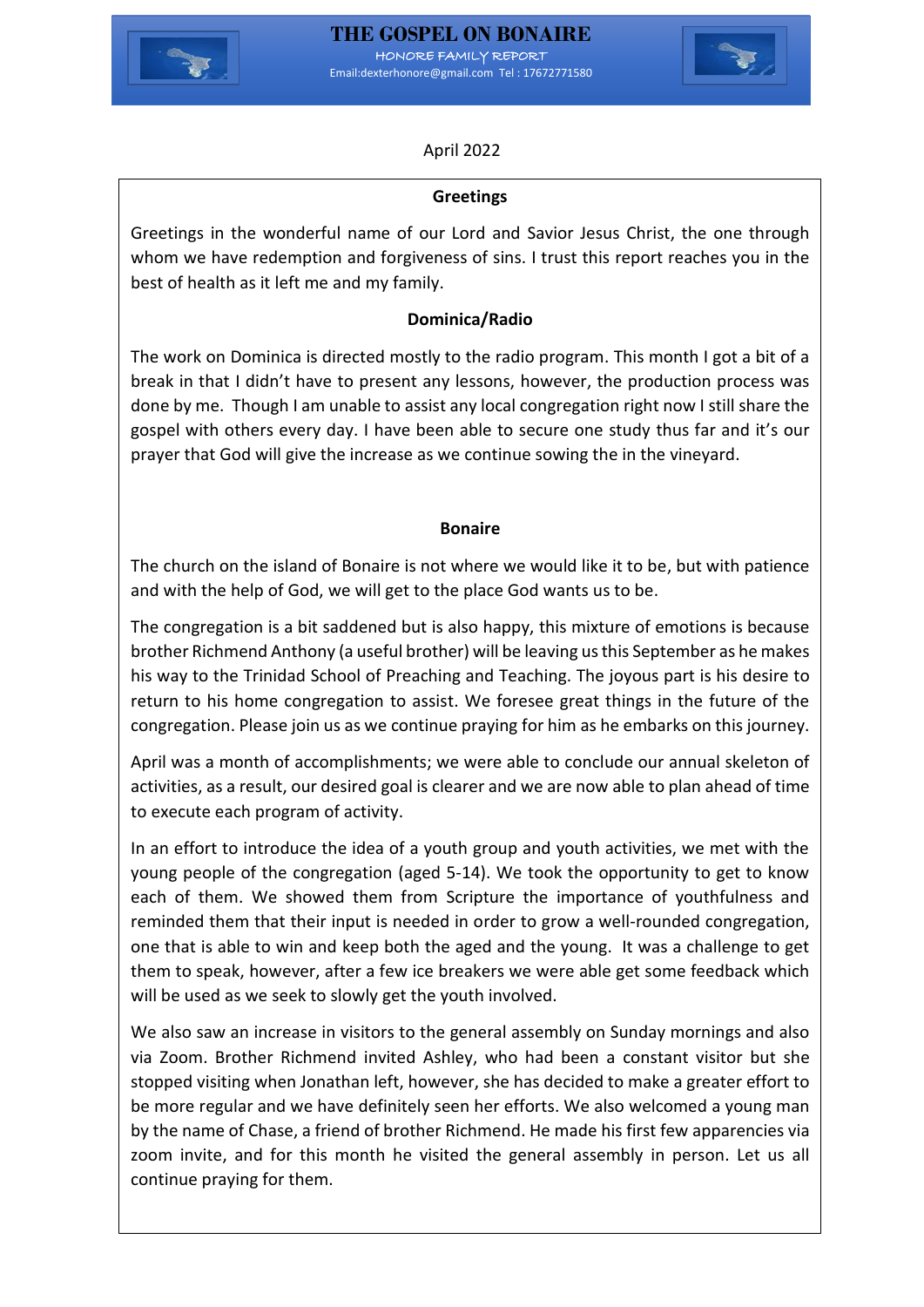



# April 2022

## **Greetings**

Greetings in the wonderful name of our Lord and Savior Jesus Christ, the one through whom we have redemption and forgiveness of sins. I trust this report reaches you in the best of health as it left me and my family.

# **Dominica/Radio**

The work on Dominica is directed mostly to the radio program. This month I got a bit of a break in that I didn't have to present any lessons, however, the production process was done by me. Though I am unable to assist any local congregation right now I still share the gospel with others every day. I have been able to secure one study thus far and it's our prayer that God will give the increase as we continue sowing the in the vineyard.

#### **Bonaire**

The church on the island of Bonaire is not where we would like it to be, but with patience and with the help of God, we will get to the place God wants us to be.

The congregation is a bit saddened but is also happy, this mixture of emotions is because brother Richmend Anthony (a useful brother) will be leaving us this September as he makes his way to the Trinidad School of Preaching and Teaching. The joyous part is his desire to return to his home congregation to assist. We foresee great things in the future of the congregation. Please join us as we continue praying for him as he embarks on this journey.

April was a month of accomplishments; we were able to conclude our annual skeleton of activities, as a result, our desired goal is clearer and we are now able to plan ahead of time to execute each program of activity.

In an effort to introduce the idea of a youth group and youth activities, we met with the young people of the congregation (aged 5-14). We took the opportunity to get to know each of them. We showed them from Scripture the importance of youthfulness and reminded them that their input is needed in order to grow a well-rounded congregation, one that is able to win and keep both the aged and the young. It was a challenge to get them to speak, however, after a few ice breakers we were able get some feedback which will be used as we seek to slowly get the youth involved.

We also saw an increase in visitors to the general assembly on Sunday mornings and also via Zoom. Brother Richmend invited Ashley, who had been a constant visitor but she stopped visiting when Jonathan left, however, she has decided to make a greater effort to be more regular and we have definitely seen her efforts. We also welcomed a young man by the name of Chase, a friend of brother Richmend. He made his first few apparencies via zoom invite, and for this month he visited the general assembly in person. Let us all continue praying for them.